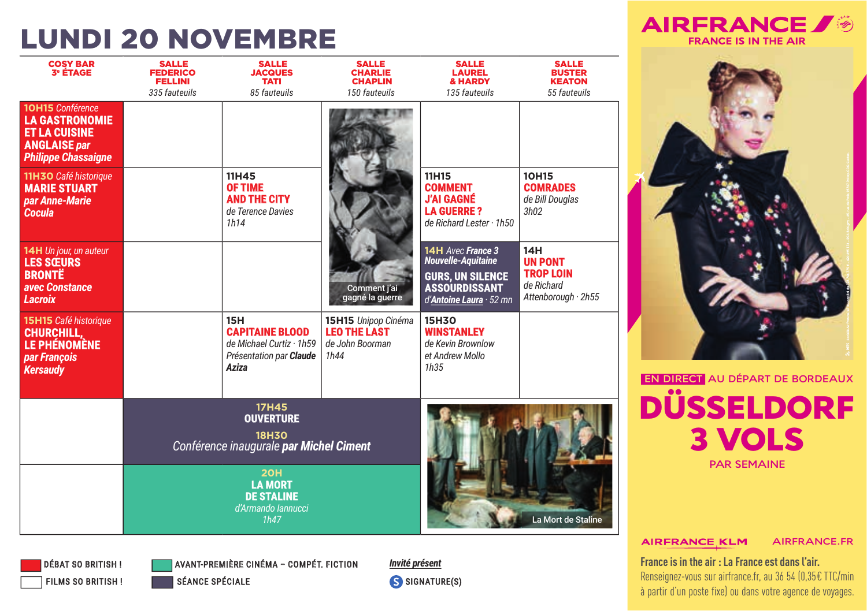## **LUNDI 20 NOVEMBRE**

| <b>COSY BAR</b><br><b>3<sup>e</sup> ÉTAGE</b>                                                                                 | <b>SALLE</b><br><b>FEDERICO</b><br><b>FELLINI</b><br>335 fauteuils | <b>SALLE</b><br><b>JACQUES</b><br><b>TATI</b><br>85 fauteuils                                        | <b>SALLE</b><br><b>CHARLIE</b><br><b>CHAPLIN</b><br>150 fauteuils     | <b>SALLE</b><br><b>LAUREL</b><br><b>&amp; HARDY</b><br>135 fauteuils                                                         | <b>SALLE</b><br><b>BUSTER</b><br><b>KEATON</b><br>55 fauteuils                       |
|-------------------------------------------------------------------------------------------------------------------------------|--------------------------------------------------------------------|------------------------------------------------------------------------------------------------------|-----------------------------------------------------------------------|------------------------------------------------------------------------------------------------------------------------------|--------------------------------------------------------------------------------------|
| <b>10H15</b> Conférence<br><b>LA GASTRONOMIE</b><br><b>ET LA CUISINE</b><br><b>ANGLAISE par</b><br><b>Philippe Chassaigne</b> |                                                                    |                                                                                                      |                                                                       |                                                                                                                              |                                                                                      |
| 11H3O Café historique<br><b>MARIE STUART</b><br>par Anne-Marie<br>Cocula                                                      |                                                                    | 11H45<br><b>OF TIME</b><br><b>AND THE CITY</b><br>de Terence Davies<br>1h14                          |                                                                       | 11H15<br><b>COMMENT</b><br><b>J'AI GAGNÉ</b><br><b>LA GUERRE?</b><br>de Richard Lester · 1h50                                | <b>10H15</b><br><b>COMRADES</b><br>de Bill Douglas<br>3h02                           |
| 14H Un jour, un auteur<br><b>LES SŒURS</b><br><b>BRONTE</b><br>avec Constance<br><b>Lacroix</b>                               |                                                                    |                                                                                                      | Comment j'ai<br>gagné la guerre                                       | 14H Avec France 3<br><b>Nouvelle-Aquitaine</b><br><b>GURS, UN SILENCE</b><br><b>ASSOURDISSANT</b><br>d'Antoine Laura · 52 mn | 14H<br><b>UN PONT</b><br><b>TROP LOIN</b><br>de Richard<br>Attenborough $\cdot$ 2h55 |
| 15H15 Café historique<br><b>CHURCHILL.</b><br><b>LE PHÉNOMÈNE</b><br>par François<br><b>Kersaudy</b>                          |                                                                    | <b>15H</b><br><b>CAPITAINE BLOOD</b><br>de Michael Curtiz · 1h59<br>Présentation par Claude<br>Aziza | 15H15 Unipop Cinéma<br><b>LEO THE LAST</b><br>de John Boorman<br>1h44 | <b>15H3O</b><br><b>WINSTANLEY</b><br>de Kevin Brownlow<br>et Andrew Mollo<br>1h35                                            |                                                                                      |
|                                                                                                                               |                                                                    | <b>17H45</b><br><b>OUVERTURE</b><br><b>18H30</b><br>Conférence inaugurale par Michel Ciment          |                                                                       |                                                                                                                              |                                                                                      |
|                                                                                                                               |                                                                    | <b>20H</b><br><b>LA MORT</b><br><b>DE STALINE</b><br>d'Armando lannucci<br>1h47                      |                                                                       |                                                                                                                              | La Mort de Staline                                                                   |

**AIRFRANCE** 

**FRANCE IS IN THE AIR** 



**AIRFRANCE KLM AIRFRANCE.FR** 

France is in the air : La France est dans l'air. Renseignez-vous sur airfrance.fr, au 36 54 (0,35€ TTC/min à partir d'un poste fixe) ou dans votre agence de voyages.



**AVANT-PREMIÈRE CINÉMA - COMPÉT. FICTION SÉANCE SPÉCIALE** 

Invité présent S SIGNATURE(S)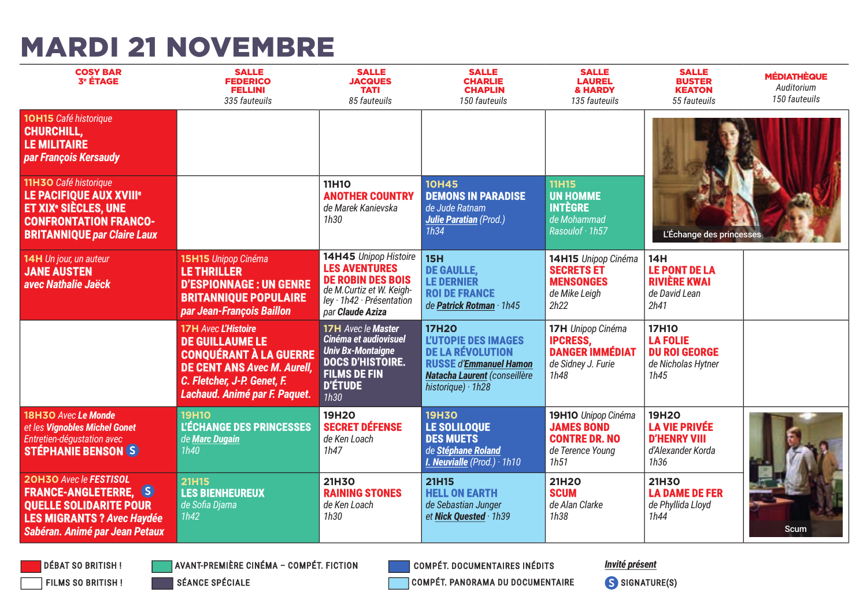### **MARDI 21 NOVEMBRE**

| <b>COSY BAR</b><br><b>3° ÉTAGE</b>                                                                                                                                   | <b>SALLE</b><br><b>FEDERICO</b><br><b>FELLINI</b><br>335 fauteuils                                                                                                                          | <b>SALLE</b><br><b>JACQUES</b><br><b>TATI</b><br>85 fauteuils                                                                                              | <b>SALLE</b><br><b>CHARLIE</b><br><b>CHAPLIN</b><br>150 fauteuils                                                                                                  | <b>SALLE</b><br><b>LAUREL</b><br><b>&amp; HARDY</b><br>135 fauteuils                         | <b>SALLE</b><br><b>BUSTER</b><br><b>KEATON</b><br>55 fauteuils                        | <b>MÉDIATHÈQUE</b><br>Auditorium<br>150 fauteuils |
|----------------------------------------------------------------------------------------------------------------------------------------------------------------------|---------------------------------------------------------------------------------------------------------------------------------------------------------------------------------------------|------------------------------------------------------------------------------------------------------------------------------------------------------------|--------------------------------------------------------------------------------------------------------------------------------------------------------------------|----------------------------------------------------------------------------------------------|---------------------------------------------------------------------------------------|---------------------------------------------------|
| <b>10H15</b> Café historique<br><b>CHURCHILL.</b><br><b>LE MILITAIRE</b><br>par François Kersaudy                                                                    |                                                                                                                                                                                             |                                                                                                                                                            |                                                                                                                                                                    |                                                                                              |                                                                                       |                                                   |
| 11H3O Café historique<br><b>LE PACIFIQUE AUX XVIII*</b><br>ET XIX <sup>®</sup> SIÈCLES. UNE<br><b>CONFRONTATION FRANCO-</b><br><b>BRITANNIQUE par Claire Laux</b>    |                                                                                                                                                                                             | <b>11H10</b><br><b>ANOTHER COUNTRY</b><br>de Marek Kanievska<br>1h30                                                                                       | <b>10H45</b><br><b>DEMONS IN PARADISE</b><br>de Jude Ratnam<br><b>Julie Paratian (Prod.)</b><br>1h34                                                               | <b>11H15</b><br><b>UN HOMME</b><br><b>INTÈGRE</b><br>de Mohammad<br>Rasoulof · 1h57          | L'Échange des princesses                                                              |                                                   |
| 14H Un jour, un auteur<br><b>JANE AUSTEN</b><br>avec Nathalie Jaëck                                                                                                  | 15H15 Unipop Cinéma<br><b>LE THRILLER</b><br><b>D'ESPIONNAGE : UN GENRE</b><br><b>BRITANNIQUE POPULAIRE</b><br>par Jean-François Baillon                                                    | 14H45 Unipop Histoire<br><b>LES AVENTURES</b><br><b>DE ROBIN DES BOIS</b><br>de M.Curtiz et W. Keigh-<br>ley · 1h42 · Présentation<br>par Claude Aziza     | <b>15H</b><br><b>DE GAULLE.</b><br><b>LE DERNIER</b><br><b>ROI DE FRANCE</b><br>de Patrick Rotman · 1h45                                                           | 14H15 Unipop Cinéma<br><b>SECRETS ET</b><br><b>MENSONGES</b><br>de Mike Leiah<br>2h22        | 14H<br><b>LE PONT DE LA</b><br><b>RIVIÈRE KWAI</b><br>de David Lean<br>2h41           |                                                   |
|                                                                                                                                                                      | <b>17H Avec L'Histoire</b><br><b>DE GUILLAUME LE</b><br><b>CONOUÉRANT À LA GUERRE</b><br><b>DE CENT ANS Avec M. Aurell.</b><br>C. Fletcher, J-P. Genet, F.<br>Lachaud. Animé par F. Paquet. | <b>17H</b> Avec le Master<br>Cinéma et audiovisuel<br><b>Univ Bx-Montaigne</b><br><b>DOCS D'HISTOIRE.</b><br><b>FILMS DE FIN</b><br><b>D'ÉTUDE</b><br>1h30 | <b>17H2O</b><br><b>L'UTOPIE DES IMAGES</b><br><b>DE LA RÉVOLUTION</b><br><b>RUSSE d'Emmanuel Hamon</b><br>Natacha Laurent (conseillère<br>historique) $\cdot$ 1h28 | 17H Unipop Cinéma<br><b>IPCRESS.</b><br><b>DANGER IMMÉDIAT</b><br>de Sidney J. Furie<br>1h48 | <b>17H10</b><br><b>LA FOLIE</b><br><b>DU ROI GEORGE</b><br>de Nicholas Hytner<br>1h45 |                                                   |
| 18H3O Avec Le Monde<br>et les Vignobles Michel Gonet<br>Entretien-déqustation avec<br><b>STÉPHANIE BENSON (S)</b>                                                    | <b>19H10</b><br><b>L'ÉCHANGE DES PRINCESSES</b><br>de Marc Dugain<br>1h40                                                                                                                   | <b>19H2O</b><br><b>SECRET DÉFENSE</b><br>de Ken Loach<br>1h47                                                                                              | <b>19H30</b><br>LE SOLILOQUE<br><b>DES MUETS</b><br>de Stéphane Roland<br>I. Neuvialle $(Prod.) \cdot 1h10$                                                        | 19H1O Unipop Cinéma<br><b>JAMES BOND</b><br><b>CONTRE DR. NO</b><br>de Terence Young<br>1h51 | 19H20<br><b>LA VIE PRIVÉE</b><br><b>D'HENRY VIII</b><br>d'Alexander Korda<br>1h36     |                                                   |
| <b>20H30 Avec le FESTISOL</b><br><b>FRANCE-ANGLETERRE, S)</b><br><b>OUELLE SOLIDARITE POUR</b><br><b>LES MIGRANTS? Avec Haydée</b><br>Sabéran. Animé par Jean Petaux | <b>21H15</b><br><b>LES BIENHEUREUX</b><br>de Sofia Djama<br>1h42                                                                                                                            | <b>21H3O</b><br><b>RAINING STONES</b><br>de Ken Loach<br>1h30                                                                                              | 21H15<br><b>HELL ON EARTH</b><br>de Sebastian Junger<br>et Nick Ouested · 1h39                                                                                     | 21H20<br><b>SCUM</b><br>de Alan Clarke<br>1h38                                               | <b>21H30</b><br><b>LA DAME DE FER</b><br>de Phyllida Lloyd<br>1h44                    | Scum                                              |

**DÉBAT SO BRITISH!** FILMS SO BRITISH! **AVANT-PREMIÈRE CINÉMA - COMPÉT. FICTION** 

**SÉANCE SPÉCIALE** 

**COMPÉT. DOCUMENTAIRES INÉDITS** 

COMPÉT. PANORAMA DU DOCUMENTAIRE

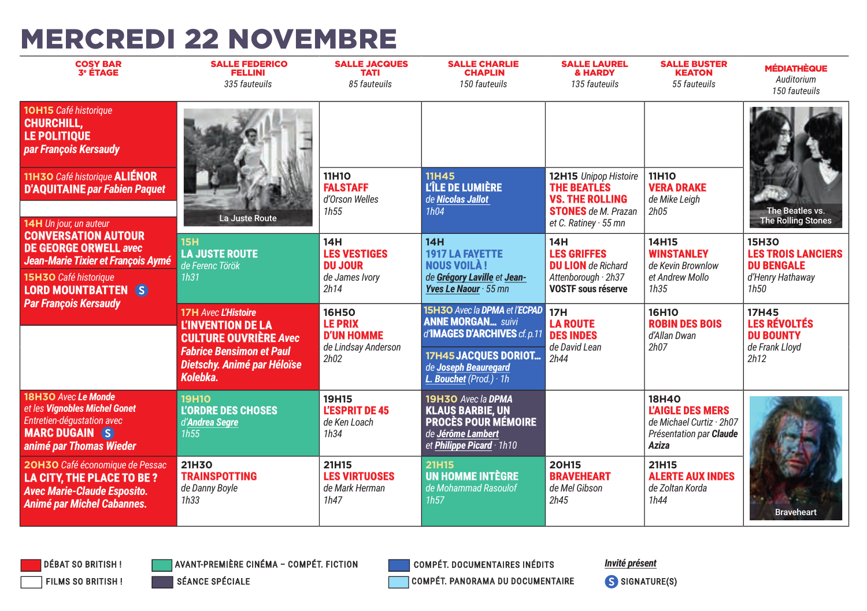## **MERCREDI 22 NOVEMBRE**

| <b>COSY BAR</b><br><b>3<sup>e</sup> ÉTAGE</b>                                                                                                            | <b>SALLE FEDERICO</b><br><b>FELLINI</b><br>335 fauteuils                                                                                                             | <b>SALLE JACQUES</b><br><b>TATI</b><br>85 fauteuils                                | <b>SALLE CHARLIE</b><br><b>CHAPLIN</b><br>150 fauteuils                                                                                                                    | <b>SALLE LAUREL</b><br><b>&amp; HARDY</b><br>135 fauteuils                                                                         | <b>SALLE BUSTER</b><br>ΚΕΔΤΟΝ<br>55 fauteuils                                                           | <b>MÉDIATHÈQUE</b><br>Auditorium<br>150 fauteuils                                   |
|----------------------------------------------------------------------------------------------------------------------------------------------------------|----------------------------------------------------------------------------------------------------------------------------------------------------------------------|------------------------------------------------------------------------------------|----------------------------------------------------------------------------------------------------------------------------------------------------------------------------|------------------------------------------------------------------------------------------------------------------------------------|---------------------------------------------------------------------------------------------------------|-------------------------------------------------------------------------------------|
| 10H15 Café historique<br><b>CHURCHILL.</b><br><b>LE POLITIOUE</b><br>par François Kersaudy                                                               |                                                                                                                                                                      |                                                                                    |                                                                                                                                                                            |                                                                                                                                    |                                                                                                         |                                                                                     |
| 11H3O Café historique <b>ALIÉNOR</b><br><b>D'AQUITAINE</b> par Fabien Paquet<br>14H Un jour, un auteur                                                   | La Juste Route                                                                                                                                                       | <b>11H10</b><br><b>FALSTAFF</b><br>d'Orson Welles<br>1h55                          | <b>11H45</b><br>L'ÎLE DE LUMIÈRE<br>de Nicolas Jallot<br>1h04                                                                                                              | 12H15 Unipop Histoire<br><b>THE BEATLES</b><br><b>VS. THE ROLLING</b><br><b>STONES</b> de M. Prazan<br>et C. Ratiney $\cdot$ 55 mn | 11H10<br><b>VERA DRAKE</b><br>de Mike Leigh<br>2h05                                                     | The Beatles vs.<br><b>The Rolling Stones</b>                                        |
| <b>CONVERSATION AUTOUR</b><br><b>DE GEORGE ORWELL avec</b><br>Jean-Marie Tixier et François Aymé<br>15H3O Café historique<br><b>LORD MOUNTBATTEN (S)</b> | 15H<br><b>LA JUSTE ROUTE</b><br>de Ferenc Török<br>1h31                                                                                                              | 14H<br><b>LES VESTIGES</b><br><b>DU JOUR</b><br>de James Ivory<br>2h14             | 14H<br><b>1917 LA FAYETTE</b><br><b>NOUS VOILA!</b><br>de Grégory Laville et Jean-<br>Yves Le Naour · 55 mn                                                                | 14H<br><b>LES GRIFFES</b><br><b>DU LION</b> de Richard<br>Attenborough · 2h37<br><b>VOSTF sous réserve</b>                         | 14H15<br><b>WINSTANLEY</b><br>de Kevin Brownlow<br>et Andrew Mollo<br>1h35                              | 15H30<br><b>LES TROIS LANCIERS</b><br><b>DU BENGALE</b><br>d'Henry Hathaway<br>1h50 |
| <b>Par François Kersaudy</b>                                                                                                                             | <b>17H Avec L'Histoire</b><br><b>L'INVENTION DE LA</b><br><b>CULTURE OUVRIÈRE Avec</b><br><b>Fabrice Bensimon et Paul</b><br>Dietschy. Animé par Héloïse<br>Kolebka. | <b>16H50</b><br><b>LE PRIX</b><br><b>D'UN HOMME</b><br>de Lindsay Anderson<br>2h02 | 15H3O Avec la DPMA et l'ECPAD<br><b>ANNE MORGAN</b> suivi<br>d'IMAGES D'ARCHIVES cf. p.11<br>17H45 JACOUES DORIOT<br>de Joseph Beaureaard<br>L. Bouchet (Prod.) $\cdot$ 1h | <b>17H</b><br><b>LA ROUTE</b><br><b>DES INDES</b><br>de David Lean<br>2h44                                                         | 16H10<br><b>ROBIN DES BOIS</b><br>d'Allan Dwan<br>2h07                                                  | 17H45<br><b>LES RÉVOLTÉS</b><br><b>DU BOUNTY</b><br>de Frank Lloyd<br>2h12          |
| 18H3O Avec Le Monde<br>et les Vignobles Michel Gonet<br>Entretien-dégustation avec<br><b>MARC DUGAIN (S)</b><br>animé par Thomas Wieder                  | <b>19H10</b><br><b>L'ORDRE DES CHOSES</b><br>d'Andrea Segre<br>1h55                                                                                                  | <b>19H15</b><br>L'ESPRIT DE 45<br>de Ken Loach<br>1h34                             | <b>19H3O</b> Avec la <b>DPMA</b><br><b>KLAUS BARBIE, UN</b><br><b>PROCÈS POUR MÉMOIRE</b><br>de Jérôme Lambert<br>et Philippe Picard · 1h10                                |                                                                                                                                    | <b>18H40</b><br><b>L'AIGLE DES MERS</b><br>de Michael Curtiz · 2h07<br>Présentation par Claude<br>Aziza |                                                                                     |
| 20H3O Café économique de Pessac<br>LA CITY. THE PLACE TO BE?<br><b>Avec Marie-Claude Esposito.</b><br>Animé par Michel Cabannes.                         | 21H30<br><b>TRAINSPOTTING</b><br>de Danny Boyle<br>1h33                                                                                                              | 21H15<br><b>LES VIRTUOSES</b><br>de Mark Herman<br>1h47                            | 21H15<br>UN HOMME INTÈGRE<br>de Mohammad Rasoulof<br>1h57                                                                                                                  | <b>20H15</b><br><b>BRAVEHEART</b><br>de Mel Gibson<br>2h45                                                                         | 21H15<br><b>ALERTE AUX INDES</b><br>de Zoltan Korda<br>1h44                                             | <b>Braveheart</b>                                                                   |

**DÉBAT SO BRITISH! FILMS SO BRITISH!**  **AVANT-PREMIÈRE CINÉMA - COMPÉT. FICTION** 

**SÉANCE SPÉCIALE** 

**COMPÉT. DOCUMENTAIRES INÉDITS** COMPÉT. PANORAMA DU DOCUMENTAIRE Invité présent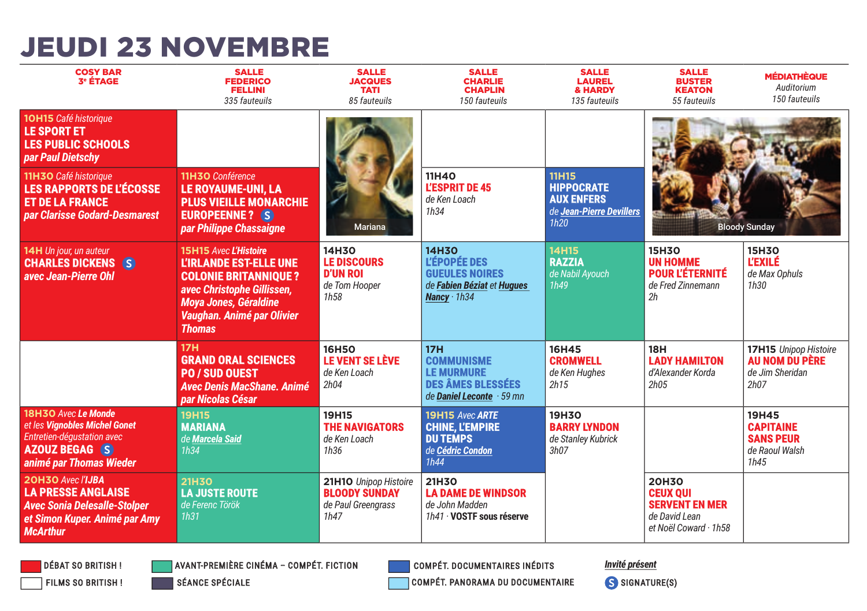### **JEUDI 23 NOVEMBRE**

| <b>COSY BAR</b><br><b>3<sup>e</sup> ÉTAGE</b>                                                                                             | <b>SALLE</b><br><b>FEDERICO</b><br><b>FELLINI</b><br>335 fauteuils                                                                                                                                        | <b>SALLE</b><br><b>JACQUES</b><br><b>TATI</b><br>85 fauteuils               | <b>SALLE</b><br><b>CHARLIE</b><br><b>CHAPLIN</b><br>150 fauteuils                                                | <b>SALLE</b><br><b>LAUREL</b><br>& HARDY<br>135 fauteuils                                  | <b>SALLE</b><br><b>BUSTER</b><br><b>KEATON</b><br>55 fauteuils                                     | <b>MÉDIATHÈQUE</b><br>Auditorium<br>150 fauteuils                       |
|-------------------------------------------------------------------------------------------------------------------------------------------|-----------------------------------------------------------------------------------------------------------------------------------------------------------------------------------------------------------|-----------------------------------------------------------------------------|------------------------------------------------------------------------------------------------------------------|--------------------------------------------------------------------------------------------|----------------------------------------------------------------------------------------------------|-------------------------------------------------------------------------|
| 10H15 Café historique<br>LE SPORT ET<br><b>LES PUBLIC SCHOOLS</b><br>par Paul Dietschy                                                    |                                                                                                                                                                                                           |                                                                             |                                                                                                                  |                                                                                            |                                                                                                    |                                                                         |
| 11H3O Café historique<br><b>LES RAPPORTS DE L'ÉCOSSE</b><br><b>ET DE LA FRANCE</b><br><b>par Clarisse Godard-Desmarest</b>                | 11H3O Conférence<br><b>LE ROYAUME-UNI, LA</b><br><b>PLUS VIEILLE MONARCHIE</b><br><b>EUROPEENNE?</b> S<br>par Philippe Chassaigne                                                                         | <b>Mariana</b>                                                              | 11H40<br><b>L'ESPRIT DE 45</b><br>de Ken Loach<br>1h34                                                           | <b>11H15</b><br><b>HIPPOCRATE</b><br><b>AUX ENFERS</b><br>de Jean-Pierre Devillers<br>1h20 |                                                                                                    | <b>Bloody Sunday</b>                                                    |
| 14H Un jour, un auteur<br><b>CHARLES DICKENS S</b><br>avec Jean-Pierre Ohl                                                                | <b>15H15 Avec L'Histoire</b><br><b>L'IRLANDE EST-ELLE UNE</b><br><b>COLONIE BRITANNIOUE?</b><br>avec Christophe Gillissen,<br><b>Moya Jones, Géraldine</b><br>Vaughan. Animé par Olivier<br><b>Thomas</b> | 14H30<br><b>LE DISCOURS</b><br><b>D'UN ROI</b><br>de Tom Hooper<br>1h58     | <b>14H30</b><br><b>L'ÉPOPÉE DES</b><br><b>GUEULES NOIRES</b><br>de Fabien Béziat et Hugues<br>Nancy $\cdot$ 1h34 | <b>14H15</b><br><b>RAZZIA</b><br>de Nabil Ayouch<br>1h49                                   | 15H30<br><b>UN HOMME</b><br><b>POUR L'ÉTERNITÉ</b><br>de Fred Zinnemann<br>2h                      | 15H30<br><b>L'EXILÉ</b><br>de Max Ophuls<br>1h30                        |
|                                                                                                                                           | <b>17H</b><br><b>GRAND ORAL SCIENCES</b><br><b>PO / SUD OUEST</b><br><b>Avec Denis MacShane, Animé</b><br>par Nicolas César                                                                               | <b>16H5O</b><br>LE VENT SE LÈVE<br>de Ken Loach<br>2h04                     | <b>17H</b><br><b>COMMUNISME</b><br><b>LE MURMURE</b><br><b>DES ÂMES BLESSÉES</b><br>de Daniel Leconte · 59 mn    | 16H45<br><b>CROMWELL</b><br>de Ken Huahes<br>2h15                                          | <b>18H</b><br><b>LADY HAMILTON</b><br>d'Alexander Korda<br>2h05                                    | 17H15 Unipop Histoire<br>AU NOM DU PÈRE<br>de Jim Sheridan<br>2h07      |
| 18H3O Avec Le Monde<br>et les Vignobles Michel Gonet<br>Entretien-dégustation avec<br><b>AZOUZ BEGAG (S)</b><br>animé par Thomas Wieder   | 19H15<br><b>MARIANA</b><br>de Marcela Said<br>1h34                                                                                                                                                        | <b>19H15</b><br><b>THE NAVIGATORS</b><br>de Ken Loach<br>1h36               | 19H15 Avec ARTE<br><b>CHINE, L'EMPIRE</b><br><b>DU TEMPS</b><br>de Cédric Condon<br>1h44                         | <b>19H30</b><br><b>BARRY LYNDON</b><br>de Stanley Kubrick<br>3h07                          |                                                                                                    | 19H45<br><b>CAPITAINE</b><br><b>SANS PEUR</b><br>de Raoul Walsh<br>1h45 |
| 20H3O Avec l'IJBA<br><b>LA PRESSE ANGLAISE</b><br><b>Avec Sonia Delesalle-Stolper</b><br>et Simon Kuper. Animé par Amy<br><b>McArthur</b> | <b>21H30</b><br><b>LA JUSTE ROUTE</b><br>de Ferenc Török<br>1h31                                                                                                                                          | 21H1O Unipop Histoire<br><b>BLOODY SUNDAY</b><br>de Paul Greengrass<br>1h47 | 21H30<br><b>LA DAME DE WINDSOR</b><br>de John Madden<br>1h41 · VOSTF sous réserve                                |                                                                                            | <b>20H30</b><br><b>CEUX OUI</b><br><b>SERVENT EN MER</b><br>de David Lean<br>et Noël Coward · 1h58 |                                                                         |

**DÉBAT SO BRITISH! FILMS SO BRITISH!**  **AVANT-PREMIÈRE CINÉMA - COMPÉT. FICTION** 

**COMPÉT. DOCUMENTAIRES INÉDITS** 

**Invité présent** 

SÉANCE SPÉCIALE

COMPÉT. PANORAMA DU DOCUMENTAIRE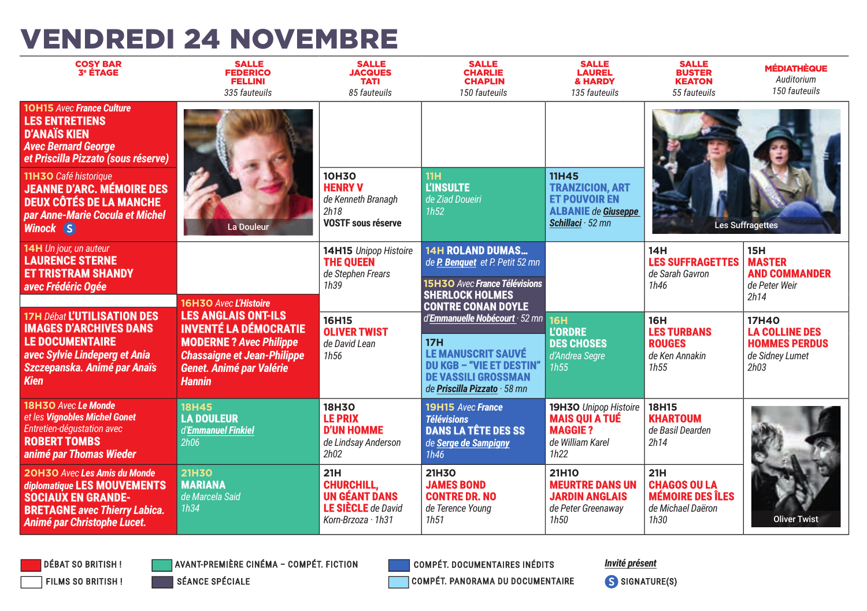## **VENDREDI 24 NOVEMBRE**

| <b>COSY BAR</b><br><b>3<sup>e</sup> ÉTAGE</b>                                                                                                                                                                                                                                                              | <b>SALLE</b><br><b>FEDERICO</b><br><b>FELLINI</b><br>335 fauteuils                                                                                                                    | <b>SALLE</b><br><b>JACQUES</b><br><b>TATI</b><br>85 fauteuils                                | <b>SALLE</b><br><b>CHARLIE</b><br><b>CHAPLIN</b><br>150 fauteuils                                                                                                              | <b>SALLE</b><br><b>LAUREL</b><br>& HARDY<br>135 fauteuils                                                         | <b>SALLE</b><br><b>BUSTER</b><br><b>KEATON</b><br>55 fauteuils                     | <b>MÉDIATHÈQUE</b><br>Auditorium<br>150 fauteuils                                        |
|------------------------------------------------------------------------------------------------------------------------------------------------------------------------------------------------------------------------------------------------------------------------------------------------------------|---------------------------------------------------------------------------------------------------------------------------------------------------------------------------------------|----------------------------------------------------------------------------------------------|--------------------------------------------------------------------------------------------------------------------------------------------------------------------------------|-------------------------------------------------------------------------------------------------------------------|------------------------------------------------------------------------------------|------------------------------------------------------------------------------------------|
| <b>10H15 Avec France Culture</b><br><b>LES ENTRETIENS</b><br><b>D'ANAÏS KIEN</b><br><b>Avec Bernard George</b><br>et Priscilla Pizzato (sous réserve)<br>11H3O Café historique<br><b>JEANNE D'ARC. MÉMOIRE DES</b><br><b>DEUX CÔTÉS DE LA MANCHE</b><br>par Anne-Marie Cocula et Michel<br><b>Winock S</b> | <b>La Douleur</b>                                                                                                                                                                     | <b>10H30</b><br><b>HENRY V</b><br>de Kenneth Branagh<br>2h18<br><b>VOSTF sous réserve</b>    | <b>11H</b><br><b>L'INSULTE</b><br>de Ziad Doueiri<br>1h52                                                                                                                      | <b>11H45</b><br><b>TRANZICION, ART</b><br><b>ET POUVOIR EN</b><br><b>ALBANIE</b> de Giuseppe<br>Schillaci · 52 mn |                                                                                    | <b>Les Suffragettes</b>                                                                  |
| 14H Un jour, un auteur<br><b>LAURENCE STERNE</b><br><b>ET TRISTRAM SHANDY</b><br>avec Frédéric Ogée                                                                                                                                                                                                        | 16H3O Avec L'Histoire                                                                                                                                                                 | 14H15 Unipop Histoire<br><b>THE QUEEN</b><br>de Stephen Frears<br>1h39                       | <b>14H ROLAND DUMAS</b><br>de P. Benquet et P. Petit 52 mn<br>15H3O Avec France Télévisions<br><b>SHERLOCK HOLMES</b><br><b>CONTRE CONAN DOYLE</b>                             |                                                                                                                   | 14H<br><b>LES SUFFRAGETTES</b><br>de Sarah Gavron<br>1h46                          | <b>15H</b><br><b>MASTER</b><br><b>AND COMMANDER</b><br>de Peter Weir<br>2h14             |
| 17H Débat L'UTILISATION DES<br><b>IMAGES D'ARCHIVES DANS</b><br><b>LE DOCUMENTAIRE</b><br>avec Sylvie Lindeperg et Ania<br>Szczepanska. Animé par Anaïs<br><b>Kien</b>                                                                                                                                     | <b>LES ANGLAIS ONT-ILS</b><br><b>INVENTÉ LA DÉMOCRATIE</b><br><b>MODERNE?</b> Avec Philippe<br><b>Chassaigne et Jean-Philippe</b><br><b>Genet. Animé par Valérie</b><br><b>Hannin</b> | 16H15<br><b>OLIVER TWIST</b><br>de David Lean<br>1h <sub>56</sub>                            | d'Emmanuelle Nobécourt · 52 mn 16H<br><b>17H</b><br><b>LE MANUSCRIT SAUVÉ</b><br><b>DU KGB - "VIE ET DESTIN"</b><br><b>DE VASSILI GROSSMAN</b><br>de Priscilla Pizzato · 58 mn | <b>L'ORDRE</b><br><b>DES CHOSES</b><br>d'Andrea Segre<br>1h55                                                     | <b>16H</b><br><b>LES TURBANS</b><br><b>ROUGES</b><br>de Ken Annakin<br>1h55        | <b>17H40</b><br><b>LA COLLINE DES</b><br><b>HOMMES PERDUS</b><br>de Sidney Lumet<br>2h03 |
| 18H3O Avec Le Monde<br>et les Vignobles Michel Gonet<br>Entretien-dégustation avec<br><b>ROBERT TOMBS</b><br>animé par Thomas Wieder                                                                                                                                                                       | <b>18H45</b><br><b>LA DOULEUR</b><br>d'Emmanuel Finkiel<br>2h06                                                                                                                       | <b>18H30</b><br><b>LE PRIX</b><br><b>D'UN HOMME</b><br>de Lindsay Anderson<br>2h02           | 19H15 Avec France<br><b>Télévisions</b><br><b>DANS LA TÊTE DES SS</b><br>de Serge de Sampigny<br>1h46                                                                          | 19H3O Unipop Histoire<br><b>MAIS OUI A TUÉ</b><br><b>MAGGIE?</b><br>de William Karel<br>1h22                      | <b>18H15</b><br><b>KHARTOUM</b><br>de Basil Dearden<br>2h14                        |                                                                                          |
| <b>20H3O Avec Les Amis du Monde</b><br>diplomatique LES MOUVEMENTS<br><b>SOCIAUX EN GRANDE-</b><br><b>BRETAGNE avec Thierry Labica.</b><br>Animé par Christophe Lucet.                                                                                                                                     | <b>21H30</b><br><b>MARIANA</b><br>de Marcela Said<br>1h34                                                                                                                             | 21H<br><b>CHURCHILL,</b><br>UN GÉANT DANS<br><b>LE SIÈCLE</b> de David<br>Korn-Brzoza · 1h31 | 21H30<br><b>JAMES BOND</b><br><b>CONTRE DR. NO</b><br>de Terence Young<br>1h51                                                                                                 | 21H10<br><b>MEURTRE DANS UN</b><br><b>JARDIN ANGLAIS</b><br>de Peter Greenaway<br>1h50                            | 21H<br><b>CHAGOS OU LA</b><br><b>MÉMOIRE DES ÎLES</b><br>de Michael Daëron<br>1h30 | <b>Oliver Twist</b>                                                                      |

**DÉBAT SO BRITISH! FILMS SO BRITISH!**  **AVANT-PREMIÈRE CINÉMA - COMPÉT. FICTION** 

**COMPÉT. DOCUMENTAIRES INÉDITS** 

Invité présent

SÉANCE SPÉCIALE

COMPÉT. PANORAMA DU DOCUMENTAIRE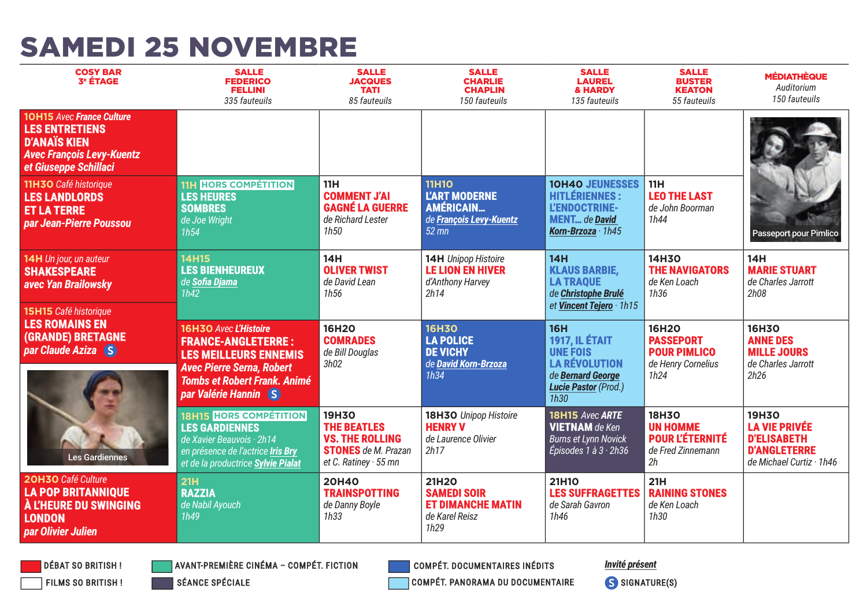#### **SAMEDI 25 NOVEMBRE**

| <b>COSY BAR</b><br><b>3<sup>e</sup> ÉTAGE</b>                                                                                                 | <b>SALLE</b><br><b>FEDERICO</b><br><b>FELLINI</b><br>335 fauteuils                                                                                                                      | <b>SALLE</b><br><b>JACQUES</b><br><b>TATI</b><br>85 fauteuils                                                      | <b>SALLE</b><br><b>CHARLIE</b><br><b>CHAPLIN</b><br>150 fauteuils                              | <b>SALLE</b><br><b>LAUREL</b><br>& HARDY<br>135 fauteuils                                                                           | <b>SALLE</b><br><b>BUSTER</b><br><b>KEATON</b><br>55 fauteuils                 | <b>MÉDIATHÈQUE</b><br>Auditorium<br>150 fauteuils                                                      |
|-----------------------------------------------------------------------------------------------------------------------------------------------|-----------------------------------------------------------------------------------------------------------------------------------------------------------------------------------------|--------------------------------------------------------------------------------------------------------------------|------------------------------------------------------------------------------------------------|-------------------------------------------------------------------------------------------------------------------------------------|--------------------------------------------------------------------------------|--------------------------------------------------------------------------------------------------------|
| <b>10H15 Avec France Culture</b><br><b>LES ENTRETIENS</b><br><b>D'ANAÏS KIEN</b><br><b>Avec François Levy-Kuentz</b><br>et Giuseppe Schillaci |                                                                                                                                                                                         |                                                                                                                    |                                                                                                |                                                                                                                                     |                                                                                |                                                                                                        |
| 11H3O Café historique<br><b>LES LANDLORDS</b><br><b>ET LA TERRE</b><br>par Jean-Pierre Poussou                                                | <b>11H HORS COMPÉTITION</b><br><b>LES HEURES</b><br><b>SOMBRES</b><br>de Joe Wright<br>1h54                                                                                             | <b>11H</b><br><b>COMMENT J'AI</b><br><b>GAGNÉ LA GUERRE</b><br>de Richard Lester<br>1h50                           | <b>11H10</b><br><b>L'ART MODERNE</b><br><b>AMÉRICAIN</b><br>de François Levy-Kuentz<br>$52$ mn | <b>10H40 JEUNESSES</b><br><b>HITLÉRIENNES:</b><br>L'ENDOCTRINE-<br><b>MENT</b> de <b>David</b><br>Korn-Brzoza · 1h45                | 11H<br><b>LEO THE LAST</b><br>de John Boorman<br>1h44                          | Passeport pour Pimlico                                                                                 |
| 14H Un jour, un auteur<br><b>SHAKESPEARE</b><br>avec Yan Brailowsky<br>15H15 Café historique                                                  | <b>14H15</b><br><b>LES BIENHEUREUX</b><br>de Sofia Djama<br>1h42                                                                                                                        | 14H<br><b>OLIVER TWIST</b><br>de David Lean<br>1h56                                                                | <b>14H</b> Unipop Histoire<br><b>LE LION EN HIVER</b><br>d'Anthony Harvey<br>2h14              | 14H<br><b>KLAUS BARBIE.</b><br><b>LA TRAQUE</b><br>de Christophe Brulé<br>et Vincent Tejero · 1h15                                  | <b>14H30</b><br><b>THE NAVIGATORS</b><br>de Ken Loach<br>1h36                  | 14H<br><b>MARIE STUART</b><br>de Charles Jarrott<br>2h08                                               |
| <b>LES ROMAINS EN</b><br>(GRANDE) BRETAGNE<br>par Claude Aziza (S)                                                                            | 16H3O Avec L'Histoire<br><b>FRANCE-ANGLETERRE:</b><br><b>LES MEILLEURS ENNEMIS</b><br><b>Avec Pierre Serna, Robert</b><br><b>Tombs et Robert Frank. Animé</b><br>par Valérie Hannin (S) | 16H20<br><b>COMRADES</b><br>de Bill Douglas<br>3h02                                                                | <b>16H30</b><br><b>LA POLICE</b><br><b>DE VICHY</b><br>de David Korn-Brzoza<br>1h34            | <b>16H</b><br><b>1917, IL ÉTAIT</b><br><b>UNE FOIS</b><br><b>LA RÉVOLUTION</b><br>de Bernard George<br>Lucie Pastor (Prod.)<br>1h30 | 16H2O<br><b>PASSEPORT</b><br><b>POUR PIMLICO</b><br>de Henry Cornelius<br>1h24 | 16H30<br><b>ANNE DES</b><br><b>MILLE JOURS</b><br>de Charles Jarrott<br>2h26                           |
| <b>Les Gardiennes</b>                                                                                                                         | <b>18H15 HORS COMPÉTITION</b><br><b>LES GARDIENNES</b><br>de Xavier Beauvois · 2h14<br>en présence de l'actrice Iris Bry<br>et de la productrice Sylvie Pialat                          | 19H30<br><b>THE BEATLES</b><br><b>VS. THE ROLLING</b><br><b>STONES</b> de M. Prazan<br>et C. Ratiney $\cdot$ 55 mn | 18H3O Unipop Histoire<br><b>HENRY V</b><br>de Laurence Olivier<br>2h17                         | 18H15 Avec ARTE<br><b>VIETNAM</b> de Ken<br><b>Burns et Lynn Novick</b><br>Épisodes 1 à 3 · 2h36                                    | 18H30<br><b>UN HOMME</b><br><b>POUR L'ÉTERNITÉ</b><br>de Fred Zinnemann<br>2h  | 19H30<br><b>LA VIE PRIVÉE</b><br><b>D'ELISABETH</b><br><b>D'ANGLETERRE</b><br>de Michael Curtiz · 1h46 |
| 20H3O Café Culture<br><b>LA POP BRITANNIQUE</b><br><b>A L'HEURE DU SWINGING</b><br><b>LONDON</b><br>par Olivier Julien                        | 21H<br><b>RAZZIA</b><br>de Nabil Ayouch<br>1h49                                                                                                                                         | <b>20H40</b><br><b>TRAINSPOTTING</b><br>de Danny Boyle<br>1h33                                                     | 21H20<br><b>SAMEDI SOIR</b><br><b>ET DIMANCHE MATIN</b><br>de Karel Reisz<br>1h29              | 21H10<br><b>LES SUFFRAGETTES</b><br>de Sarah Gavron<br>1h46                                                                         | 21H<br><b>RAINING STONES</b><br>de Ken Loach<br>1h30                           |                                                                                                        |

**DÉBAT SO BRITISH! FILMS SO BRITISH!**  **AVANT-PREMIÈRE CINÉMA - COMPÉT. FICTION** 

**COMPÉT. DOCUMENTAIRES INÉDITS** 

**Invité présent** 

SÉANCE SPÉCIALE

COMPÉT. PANORAMA DU DOCUMENTAIRE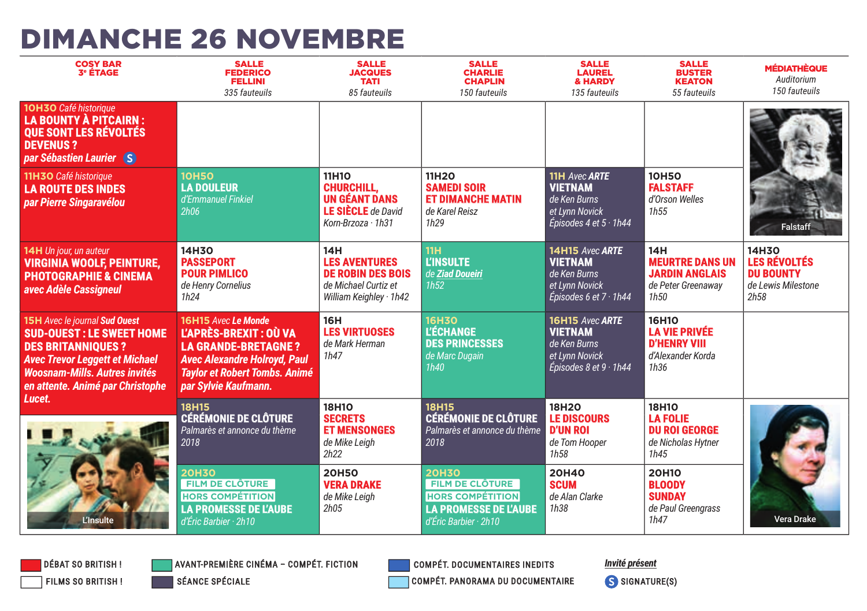### **DIMANCHE 26 NOVEMBRE**

| <b>COSY BAR</b><br><b>3<sup>e</sup> ÉTAGE</b>                                                                                                                                                                            | <b>SALLE</b><br><b>FEDERICO</b><br><b>FELLINI</b><br>335 fauteuils                                                                                                                 | <b>SALLE</b><br><b>JACQUES</b><br><b>TATI</b><br>85 fauteuils                                                    | <b>SALLE</b><br><b>CHARLIE</b><br><b>CHAPLIN</b><br>150 fauteuils                                                   | <b>SALLE</b><br><b>LAUREL</b><br>& HARDY<br>135 fauteuils                                                | <b>SALLE</b><br><b>BUSTER</b><br><b>KEATON</b><br>55 fauteuils                        | <b>MÉDIATHÈQUE</b><br>Auditorium<br>150 fauteuils                              |
|--------------------------------------------------------------------------------------------------------------------------------------------------------------------------------------------------------------------------|------------------------------------------------------------------------------------------------------------------------------------------------------------------------------------|------------------------------------------------------------------------------------------------------------------|---------------------------------------------------------------------------------------------------------------------|----------------------------------------------------------------------------------------------------------|---------------------------------------------------------------------------------------|--------------------------------------------------------------------------------|
| 10H30 Café historique<br><b>LA BOUNTY À PITCAIRN:</b><br><b>QUE SONT LES RÉVOLTÉS</b><br><b>DEVENUS?</b><br>par Sébastien Laurier S                                                                                      |                                                                                                                                                                                    |                                                                                                                  |                                                                                                                     |                                                                                                          |                                                                                       |                                                                                |
| 11H3O Café historique<br><b>LA ROUTE DES INDES</b><br>par Pierre Singaravélou                                                                                                                                            | <b>10H50</b><br><b>LA DOULEUR</b><br>d'Emmanuel Finkiel<br>2h06                                                                                                                    | <b>11H10</b><br><b>CHURCHILL.</b><br>UN GÉANT DANS<br><b>LE SIÈCLE</b> de David<br>Korn-Brzoza $\cdot$ 1h31      | 11H20<br><b>SAMEDI SOIR</b><br><b>ET DIMANCHE MATIN</b><br>de Karel Reisz<br>1h29                                   | <b>11H Avec ARTE</b><br><b>VIETNAM</b><br>de Ken Burns<br>et Lynn Novick<br>Épisodes 4 et $5 \cdot 1h44$ | <b>10H50</b><br><b>FALSTAFF</b><br>d'Orson Welles<br>1h55                             | <b>Falstaff</b>                                                                |
| 14H Un jour, un auteur<br><b>VIRGINIA WOOLF, PEINTURE,</b><br><b>PHOTOGRAPHIE &amp; CINEMA</b><br>avec Adèle Cassigneul                                                                                                  | 14H30<br><b>PASSEPORT</b><br><b>POUR PIMLICO</b><br>de Henry Cornelius<br>1h24                                                                                                     | 14H<br><b>LES AVENTURES</b><br><b>DE ROBIN DES BOIS</b><br>de Michael Curtiz et<br>William Keighley $\cdot$ 1h42 | 11H<br><b>L'INSULTE</b><br>de Ziad Doueiri<br>1h52                                                                  | 14H15 Avec ARTE<br><b>VIETNAM</b><br>de Ken Burns<br>et Lynn Novick<br>Épisodes 6 et $7 \cdot 1h44$      | 14H<br><b>MEURTRE DANS UN</b><br><b>JARDIN ANGLAIS</b><br>de Peter Greenaway<br>1h50  | 14H30<br><b>LES RÉVOLTÉS</b><br><b>DU BOUNTY</b><br>de Lewis Milestone<br>2h58 |
| <b>15H Avec le journal Sud Ouest</b><br><b>SUD-OUEST: LE SWEET HOME</b><br><b>DES BRITANNIQUES?</b><br><b>Avec Trevor Leggett et Michael</b><br><b>Woosnam-Mills, Autres invités</b><br>en attente. Animé par Christophe | 16H15 Avec Le Monde<br>L'APRÈS-BREXIT : OÙ VA<br><b>LA GRANDE-BRETAGNE?</b><br><b>Avec Alexandre Holroyd, Paul</b><br><b>Taylor et Robert Tombs. Animé</b><br>par Sylvie Kaufmann. | <b>16H</b><br><b>LES VIRTUOSES</b><br>de Mark Herman<br>1h47                                                     | <b>16H30</b><br><b>L'ÉCHANGE</b><br><b>DES PRINCESSES</b><br>de Marc Dugain<br>1h40                                 | 16H15 Avec ARTE<br><b>VIETNAM</b><br>de Ken Burns<br>et Lynn Novick<br>Épisodes 8 et 9 $\cdot$ 1h44      | 16H10<br><b>LA VIE PRIVÉE</b><br><b>D'HENRY VIII</b><br>d'Alexander Korda<br>1h36     |                                                                                |
| Lucet.                                                                                                                                                                                                                   | <b>18H15</b><br><b>CÉRÉMONIE DE CLÔTURE</b><br>Palmarès et annonce du thème<br>2018                                                                                                | <b>18H10</b><br><b>SECRETS</b><br><b>ET MENSONGES</b><br>de Mike Leiah<br>2h22                                   | <b>18H15</b><br><b>CÉRÉMONIE DE CLÔTURE</b><br>Palmarès et annonce du thème<br>2018                                 | <b>18H2O</b><br><b>LE DISCOURS</b><br><b>D'UN ROI</b><br>de Tom Hooper<br>1h58                           | <b>18H10</b><br><b>LA FOLIE</b><br><b>DU ROI GEORGE</b><br>de Nicholas Hytner<br>1h45 |                                                                                |
| <b>L'Insulte</b>                                                                                                                                                                                                         | <b>20H30</b><br><b>FILM DE CLÔTURE</b><br><b>HORS COMPÉTITION</b><br><b>LA PROMESSE DE L'AUBE</b><br>d'Éric Barbier · 2h10                                                         | <b>20H50</b><br><b>VERA DRAKE</b><br>de Mike Leigh<br>2h05                                                       | <b>20H30</b><br>FILM DE CLÔTURE<br><b>HORS COMPÉTITION</b><br><b>LA PROMESSE DE L'AUBE</b><br>d'Éric Barbier · 2h10 | <b>20H40</b><br><b>SCUM</b><br>de Alan Clarke<br>1h38                                                    | 20H10<br><b>BLOODY</b><br><b>SUNDAY</b><br>de Paul Greengrass<br>1h47                 | <b>Vera Drake</b>                                                              |



**AVANT-PREMIÈRE CINÉMA - COMPÉT. FICTION** 

**SÉANCE SPÉCIALE** 

**COMPÉT. DOCUMENTAIRES INEDITS** COMPÉT. PANORAMA DU DOCUMENTAIRE Invité présent